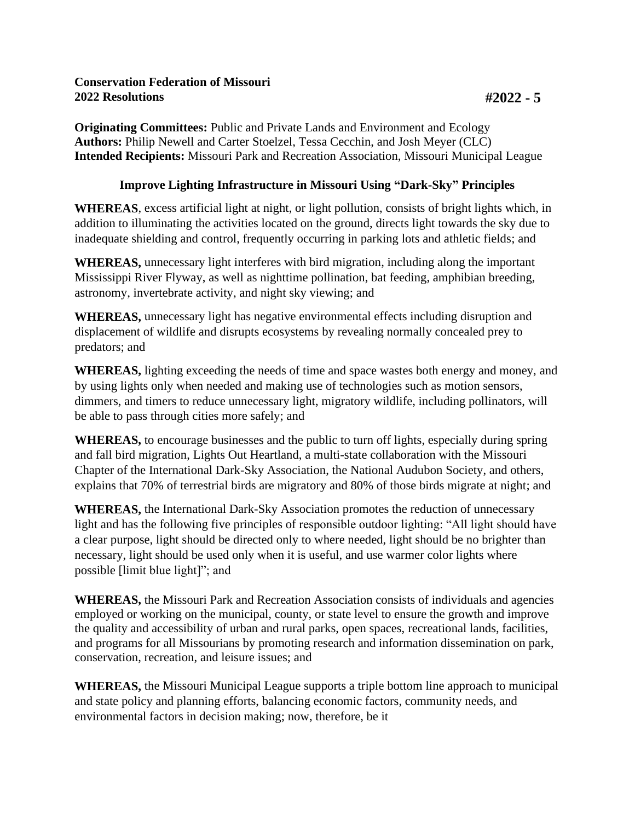**Originating Committees:** Public and Private Lands and Environment and Ecology **Authors:** Philip Newell and Carter Stoelzel, Tessa Cecchin, and Josh Meyer (CLC) **Intended Recipients:** Missouri Park and Recreation Association, Missouri Municipal League

## **Improve Lighting Infrastructure in Missouri Using "Dark-Sky" Principles**

**WHEREAS**, excess artificial light at night, or light pollution, consists of bright lights which, in addition to illuminating the activities located on the ground, directs light towards the sky due to inadequate shielding and control, frequently occurring in parking lots and athletic fields; and

**WHEREAS,** unnecessary light interferes with bird migration, including along the important Mississippi River Flyway, as well as nighttime pollination, bat feeding, amphibian breeding, astronomy, invertebrate activity, and night sky viewing; and

**WHEREAS,** unnecessary light has negative environmental effects including disruption and displacement of wildlife and disrupts ecosystems by revealing normally concealed prey to predators; and

**WHEREAS,** lighting exceeding the needs of time and space wastes both energy and money, and by using lights only when needed and making use of technologies such as motion sensors, dimmers, and timers to reduce unnecessary light, migratory wildlife, including pollinators, will be able to pass through cities more safely; and

**WHEREAS,** to encourage businesses and the public to turn off lights, especially during spring and fall bird migration, Lights Out Heartland, a multi-state collaboration with the Missouri Chapter of the International Dark-Sky Association, the National Audubon Society, and others, explains that 70% of terrestrial birds are migratory and 80% of those birds migrate at night; and

**WHEREAS,** the International Dark-Sky Association promotes the reduction of unnecessary light and has the following five principles of responsible outdoor lighting: "All light should have a clear purpose, light should be directed only to where needed, light should be no brighter than necessary, light should be used only when it is useful, and use warmer color lights where possible [limit blue light]"; and

**WHEREAS,** the Missouri Park and Recreation Association consists of individuals and agencies employed or working on the municipal, county, or state level to ensure the growth and improve the quality and accessibility of urban and rural parks, open spaces, recreational lands, facilities, and programs for all Missourians by promoting research and information dissemination on park, conservation, recreation, and leisure issues; and

**WHEREAS,** the Missouri Municipal League supports a triple bottom line approach to municipal and state policy and planning efforts, balancing economic factors, community needs, and environmental factors in decision making; now, therefore, be it